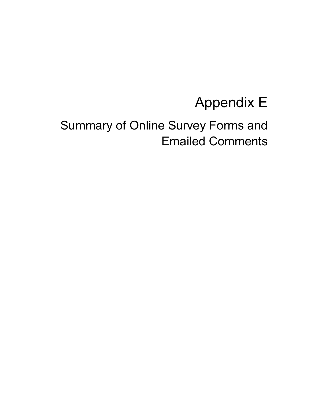# Appendix E

# Summary of Online Survey Forms and Emailed Comments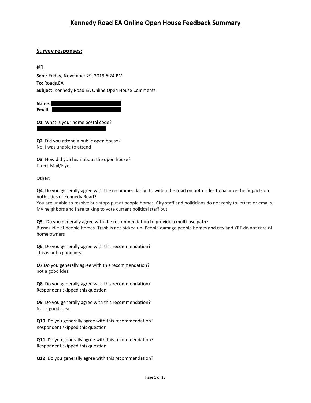#### **Survey responses:**

### **#1**

**Sent:** Friday, November 29, 2019 6:24 PM **To:** Roads.EA **Subject:** Kennedy Road EA Online Open House Comments

**Name: Email:**

**Q1**. What is your home postal code?

**Q2**. Did you attend a public open house? No, I was unable to attend

**Q3**. How did you hear about the open house? Direct Mail/Flyer

Other:

**Q4**. Do you generally agree with the recommendation to widen the road on both sides to balance the impacts on both sides of Kennedy Road?

You are unable to resolve bus stops put at people homes. City staff and politicians do not reply to letters or emails. My neighbors and I are talking to vote current political staff out

**Q5**. Do you generally agree with the recommendation to provide a multi-use path? Busses idle at people homes. Trash is not picked up. People damage people homes and city and YRT do not care of home owners

**Q6**. Do you generally agree with this recommendation? This is not a good idea

**Q7**.Do you generally agree with this recommendation? not a good idea

**Q8**. Do you generally agree with this recommendation? Respondent skipped this question

**Q9**. Do you generally agree with this recommendation? Not a good idea

**Q10**. Do you generally agree with this recommendation? Respondent skipped this question

**Q11**. Do you generally agree with this recommendation? Respondent skipped this question

**Q12**. Do you generally agree with this recommendation?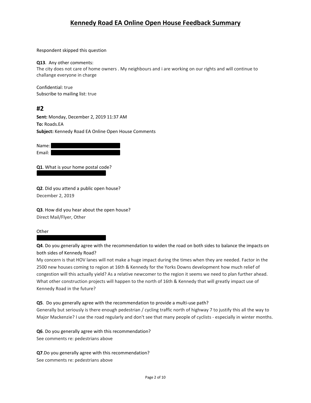Respondent skipped this question

#### **Q13**. Any other comments:

The city does not care of home owners . My neighbours and i are working on our rights and will continue to challange everyone in charge

Confidential: true Subscribe to mailing list: true

## **#2**

**Sent:** Monday, December 2, 2019 11:37 AM **To:** Roads.EA **Subject:** Kennedy Road EA Online Open House Comments

| Name:  |  |
|--------|--|
| Email: |  |

**Q1**. What is your home postal code?

**Q2**. Did you attend a public open house? December 2, 2019

**Q3**. How did you hear about the open house? Direct Mail/Flyer, Other

**Other** 

**Q4**. Do you generally agree with the recommendation to widen the road on both sides to balance the impacts on both sides of Kennedy Road?

My concern is that HOV lanes will not make a huge impact during the times when they are needed. Factor in the 2500 new houses coming to region at 16th & Kennedy for the Yorks Downs development how much relief of congestion will this actually yield? As a relative newcomer to the region it seems we need to plan further ahead. What other construction projects will happen to the north of 16th & Kennedy that will greatly impact use of Kennedy Road in the future?

#### **Q5**. Do you generally agree with the recommendation to provide a multi-use path?

Generally but seriously is there enough pedestrian / cycling traffic north of highway 7 to justify this all the way to Major Mackenzie? I use the road regularly and don't see that many people of cyclists - especially in winter months.

**Q6**. Do you generally agree with this recommendation? See comments re: pedestrians above

**Q7**.Do you generally agree with this recommendation? See comments re: pedestrians above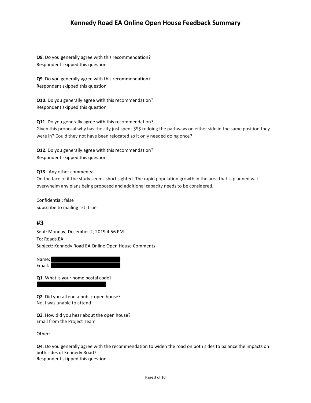**Q8**. Do you generally agree with this recommendation? Respondent skipped this question

**Q9**. Do you generally agree with this recommendation? Respondent skipped this question

**Q10**. Do you generally agree with this recommendation? Respondent skipped this question

**Q11**. Do you generally agree with this recommendation? Given this proposal why has the city just spent \$\$\$ redoing the pathways on either side in the same position they were in? Could they not have been relocated so it only needed doing once?

**Q12**. Do you generally agree with this recommendation? Respondent skipped this question

#### **Q13**. Any other comments:

On the face of it the study seems short sighted. The rapid population growth in the area that is planned will overwhelm any plans being proposed and additional capacity needs to be considered.

Confidential: false Subscribe to mailing list: true

### **#3**

Sent: Monday, December 2, 2019 4:56 PM To: Roads.EA Subject: Kennedy Road EA Online Open House Comments

Name: Email:

**Q1**. What is your home postal code?

**Q2**. Did you attend a public open house? No, I was unable to attend

**Q3**. How did you hear about the open house? Email from the Project Team

Other:

**Q4**. Do you generally agree with the recommendation to widen the road on both sides to balance the impacts on both sides of Kennedy Road? Respondent skipped this question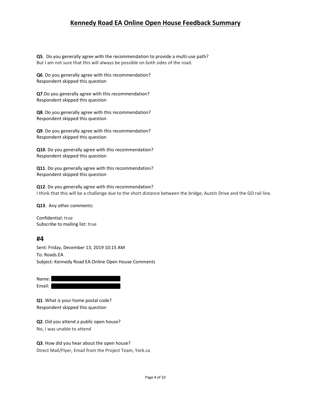**Q5**. Do you generally agree with the recommendation to provide a multi-use path? But I am not sure that this will always be possible on both sides of the road.

**Q6**. Do you generally agree with this recommendation? Respondent skipped this question

**Q7**.Do you generally agree with this recommendation? Respondent skipped this question

**Q8**. Do you generally agree with this recommendation? Respondent skipped this question

**Q9**. Do you generally agree with this recommendation? Respondent skipped this question

**Q10**. Do you generally agree with this recommendation? Respondent skipped this question

**Q11**. Do you generally agree with this recommendation? Respondent skipped this question

**Q12**. Do you generally agree with this recommendation? I think that this will be a challenge due to the short distance between the bridge, Austin Drive and the GO rail line.

**Q13**. Any other comments:

Confidential: true Subscribe to mailing list: true

#### **#4**

Sent: Friday, December 13, 2019 10:15 AM To: Roads.EA Subject: Kennedy Road EA Online Open House Comments

Name: Email:

**Q1**. What is your home postal code? Respondent skipped this question

**Q2**. Did you attend a public open house? No, I was unable to attend

**Q3**. How did you hear about the open house? Direct Mail/Flyer, Email from the Project Team, York.ca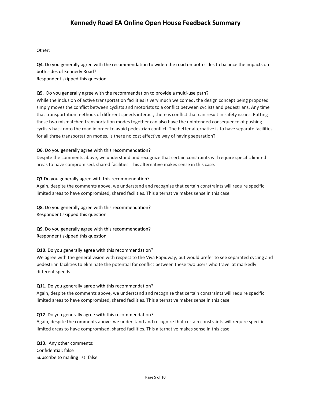Other:

**Q4**. Do you generally agree with the recommendation to widen the road on both sides to balance the impacts on both sides of Kennedy Road?

Respondent skipped this question

#### **Q5**. Do you generally agree with the recommendation to provide a multi-use path?

While the inclusion of active transportation facilities is very much welcomed, the design concept being proposed simply moves the conflict between cyclists and motorists to a conflict between cyclists and pedestrians. Any time that transportation methods of different speeds interact, there is conflict that can result in safety issues. Putting these two mismatched transportation modes together can also have the unintended consequence of pushing cyclists back onto the road in order to avoid pedestrian conflict. The better alternative is to have separate facilities for all three transportation modes. Is there no cost effective way of having separation?

#### **Q6**. Do you generally agree with this recommendation?

Despite the comments above, we understand and recognize that certain constraints will require specific limited areas to have compromised, shared facilities. This alternative makes sense in this case.

#### **Q7**.Do you generally agree with this recommendation?

Again, despite the comments above, we understand and recognize that certain constraints will require specific limited areas to have compromised, shared facilities. This alternative makes sense in this case.

**Q8**. Do you generally agree with this recommendation? Respondent skipped this question

**Q9**. Do you generally agree with this recommendation? Respondent skipped this question

#### **Q10**. Do you generally agree with this recommendation?

We agree with the general vision with respect to the Viva Rapidway, but would prefer to see separated cycling and pedestrian facilities to eliminate the potential for conflict between these two users who travel at markedly different speeds.

#### **Q11**. Do you generally agree with this recommendation?

Again, despite the comments above, we understand and recognize that certain constraints will require specific limited areas to have compromised, shared facilities. This alternative makes sense in this case.

#### **Q12**. Do you generally agree with this recommendation?

Again, despite the comments above, we understand and recognize that certain constraints will require specific limited areas to have compromised, shared facilities. This alternative makes sense in this case.

**Q13**. Any other comments: Confidential: false Subscribe to mailing list: false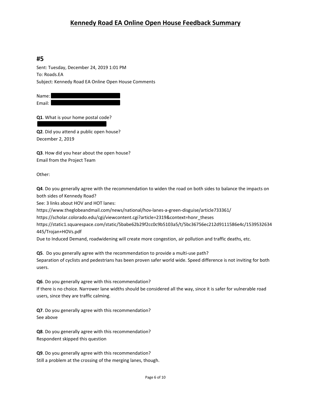## **#5**

Sent: Tuesday, December 24, 2019 1:01 PM To: Roads.EA Subject: Kennedy Road EA Online Open House Comments

Name: Email:

**Q1**. What is your home postal code?

**Q2**. Did you attend a public open house? December 2, 2019

**Q3**. How did you hear about the open house? Email from the Project Team

Other:

**Q4**. Do you generally agree with the recommendation to widen the road on both sides to balance the impacts on both sides of Kennedy Road?

See: 3 links about HOV and HOT lanes:

https://www.theglobeandmail.com/news/national/hov-lanes-a-green-disguise/article733361/

https://scholar.colorado.edu/cgi/viewcontent.cgi?article=2319&context=honr\_theses

https://static1.squarespace.com/static/5babe62b29f2cc0c9b5103a5/t/5bc36756ec212d9111586e4c/1539532634 445/Trojan+HOVs.pdf

Due to Induced Demand, roadwidening will create more congestion, air pollution and traffic deaths, etc.

**Q5**. Do you generally agree with the recommendation to provide a multi-use path? Separation of cyclists and pedestrians has been proven safer world wide. Speed difference is not inviting for both users.

**Q6**. Do you generally agree with this recommendation?

If there is no choice. Narrower lane widths should be considered all the way, since it is safer for vulnerable road users, since they are traffic calming.

**Q7**. Do you generally agree with this recommendation? See above

**Q8**. Do you generally agree with this recommendation? Respondent skipped this question

**Q9**. Do you generally agree with this recommendation? Still a problem at the crossing of the merging lanes, though.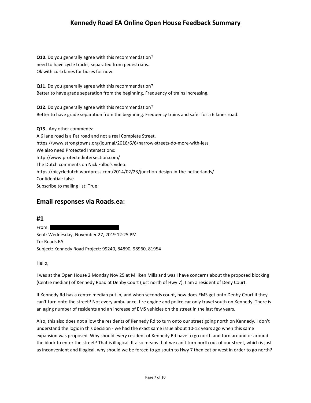**Q10**. Do you generally agree with this recommendation? need to have cycle tracks, separated from pedestrians. Ok with curb lanes for buses for now.

**Q11**. Do you generally agree with this recommendation? Better to have grade separation from the beginning. Frequency of trains increasing.

**Q12**. Do you generally agree with this recommendation? Better to have grade separation from the beginning. Frequency trains and safer for a 6 lanes road.

**Q13**. Any other comments:

A 6 lane road is a Fat road and not a real Complete Street. https://www.strongtowns.org/journal/2016/6/6/narrow-streets-do-more-with-less We also need Protected Intersections: http://www.protectedintersection.com/ The Dutch comments on Nick Falbo's video: https://bicycledutch.wordpress.com/2014/02/23/junction-design-in-the-netherlands/ Confidential: false Subscribe to mailing list: True

## **Email responses via Roads.ea:**

**#1** From: Sent: Wednesday, November 27, 2019 12:25 PM To: Roads.EA Subject: Kennedy Road Project: 99240, 84890, 98960, 81954

Hello,

I was at the Open House 2 Monday Nov 25 at Miliken Mills and was I have concerns about the proposed blocking (Centre median) of Kennedy Road at Denby Court (just north of Hwy 7). I am a resident of Deny Court.

If Kennedy Rd has a centre median put in, and when seconds count, how does EMS get onto Denby Court if they can't turn onto the street? Not every ambulance, fire engine and police car only travel south on Kennedy. There is an aging number of residents and an increase of EMS vehicles on the street in the last few years.

Also, this also does not allow the residents of Kennedy Rd to turn onto our street going north on Kennedy. I don't understand the logic in this decision - we had the exact same issue about 10-12 years ago when this same expansion was proposed. Why should every resident of Kennedy Rd have to go north and turn around or around the block to enter the street? That is illogical. It also means that we can't turn north out of our street, which is just as inconvenient and illogical. why should we be forced to go south to Hwy 7 then eat or west in order to go north?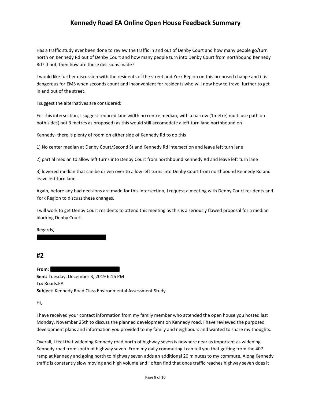Has a traffic study ever been done to review the traffic in and out of Denby Court and how many people go/turn north on Kennedy Rd out of Denby Court and how many people turn into Denby Court from northbound Kennedy Rd? If not, then how are these decisions made?

I would like further discussion with the residents of the street and York Region on this proposed change and it is dangerous for EMS when seconds count and inconvenient for residents who will now how to travel further to get in and out of the street.

I suggest the alternatives are considered:

For this intersection, I suggest reduced lane width no centre median, with a narrow (1metre) multi use path on both sides( not 3 metres as proposed) as this would still accomodate a left turn lane northbound on

Kennedy- there is plenty of room on either side of Kennedy Rd to do this

1) No center median at Denby Court/Second St and Kennedy Rd intersection and leave left turn lane

2) partial median to allow left turns into Denby Court from northbound Kennedy Rd and leave left turn lane

3) lowered median that can be driven over to allow left turns into Denby Court from northbound Kennedy Rd and leave left turn lane

Again, before any bad decisions are made for this intersection, I request a meeting with Denby Court residents and York Region to discuss these changes.

I will work to get Denby Court residents to attend this meeting as this is a seriously flawed proposal for a median blocking Denby Court.

Regards,

**#2**

**From: Sent:** Tuesday, December 3, 2019 6:16 PM **To:** Roads.EA **Subject:** Kennedy Road Class Environmental Assessment Study

Hi,

I have received your contact information from my family member who attended the open house you hosted last Monday, November 25th to discuss the planned development on Kennedy road. I have reviewed the purposed development plans and information you provided to my family and neighbours and wanted to share my thoughts.

Overall, I feel that widening Kennedy road north of highway seven is nowhere near as important as widening Kennedy road from south of highway seven. From my daily commuting I can tell you that getting from the 407 ramp at Kennedy and going north to highway seven adds an additional 20 minutes to my commute. Along Kennedy traffic is constantly slow moving and high volume and I often find that once traffic reaches highway seven does it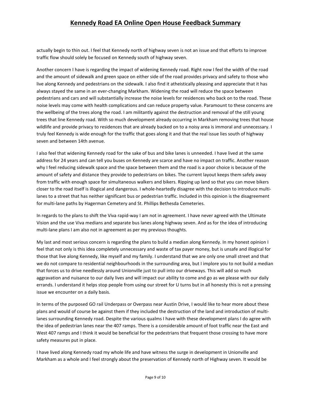actually begin to thin out. I feel that Kennedy north of highway seven is not an issue and that efforts to improve traffic flow should solely be focused on Kennedy south of highway seven.

Another concern I have is regarding the impact of widening Kennedy road. Right now I feel the width of the road and the amount of sidewalk and green space on either side of the road provides privacy and safety to those who live along Kennedy and pedestrians on the sidewalk. I also find it atheistically pleasing and appreciate that it has always stayed the same in an ever-changing Markham. Widening the road will reduce the space between pedestrians and cars and will substantially increase the noise levels for residences who back on to the road. These noise levels may come with health complications and can reduce property value. Paramount to these concerns are the wellbeing of the trees along the road. I am militantly against the destruction and removal of the still young trees that line Kennedy road. With so much development already occurring in Markham removing trees that house wildlife and provide privacy to residences that are already backed on to a noisy area is immoral and unnecessary. I truly feel Kennedy is wide enough for the traffic that goes along it and that the real issue lies south of highway seven and between 14th avenue.

I also feel that widening Kennedy road for the sake of bus and bike lanes is unneeded. I have lived at the same address for 24 years and can tell you buses on Kennedy are scarce and have no impact on traffic. Another reason why I feel reducing sidewalk space and the space between them and the road is a poor choice is because of the amount of safety and distance they provide to pedestrians on bikes. The current layout keeps them safely away from traffic with enough space for simultaneous walkers and bikers. Ripping up land so that you can move bikers closer to the road itself is illogical and dangerous. I whole-heartedly disagree with the decision to introduce multilanes to a street that has neither significant bus or pedestrian traffic. Included in this opinion is the disagreement for multi-lane paths by Hagerman Cemetery and St. Phillips Bethesda Cemeteries.

In regards to the plans to shift the Viva rapid-way I am not in agreement. I have never agreed with the Ultimate Vision and the use Viva medians and separate bus lanes along highway seven. And as for the idea of introducing multi-lane plans I am also not in agreement as per my previous thoughts.

My last and most serious concern is regarding the plans to build a median along Kennedy. In my honest opinion I feel that not only is this idea completely unnecessary and waste of tax payer money, but is unsafe and illogical for those that live along Kennedy, like myself and my family. I understand that we are only one small street and that we do not compare to residential neighbourhoods in the surrounding area, but I implore you to not build a median that forces us to drive needlessly around Unionville just to pull into our driveways. This will add so much aggravation and nuisance to our daily lives and will impact our ability to come and go as we please with our daily errands. I understand it helps stop people from using our street for U turns but in all honesty this is not a pressing issue we encounter on a daily basis.

In terms of the purposed GO rail Underpass or Overpass near Austin Drive, I would like to hear more about these plans and would of course be against them if they included the destruction of the land and introduction of multilanes surrounding Kennedy road. Despite the various qualms I have with these development plans I do agree with the idea of pedestrian lanes near the 407 ramps. There is a considerable amount of foot traffic near the East and West 407 ramps and I think it would be beneficial for the pedestrians that frequent those crossing to have more safety measures put in place.

I have lived along Kennedy road my whole life and have witness the surge in development in Unionville and Markham as a whole and I feel strongly about the preservation of Kennedy north of Highway seven. It would be